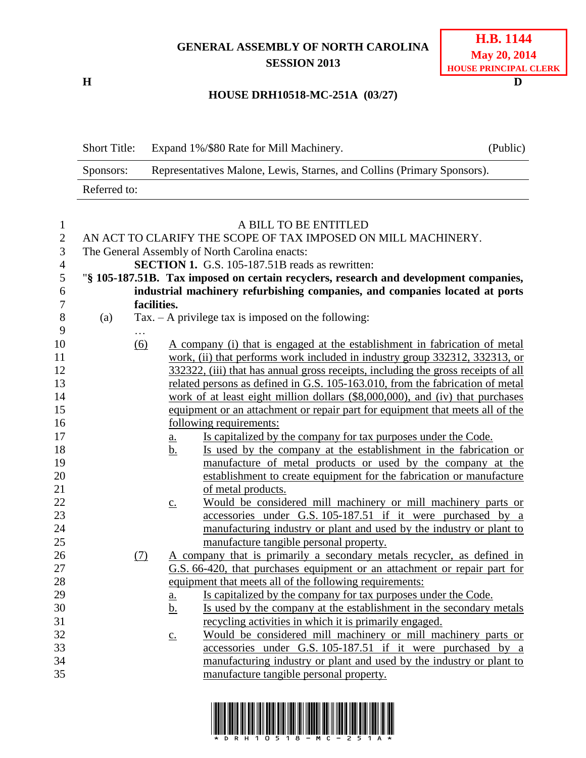## **GENERAL ASSEMBLY OF NORTH CAROLINA SESSION 2013**

**H D**

## **HOUSE DRH10518-MC-251A (03/27)**

| <b>Short Title:</b> | Expand 1%/\$80 Rate for Mill Machinery.                                 | (Public) |  |  |
|---------------------|-------------------------------------------------------------------------|----------|--|--|
| Sponsors:           | Representatives Malone, Lewis, Starnes, and Collins (Primary Sponsors). |          |  |  |
| Referred to:        |                                                                         |          |  |  |

| $\mathbf{1}$   | A BILL TO BE ENTITLED                                                         |                                                                                   |                   |                                                                                       |  |  |  |
|----------------|-------------------------------------------------------------------------------|-----------------------------------------------------------------------------------|-------------------|---------------------------------------------------------------------------------------|--|--|--|
| $\overline{2}$ | AN ACT TO CLARIFY THE SCOPE OF TAX IMPOSED ON MILL MACHINERY.                 |                                                                                   |                   |                                                                                       |  |  |  |
| $\mathfrak{Z}$ | The General Assembly of North Carolina enacts:                                |                                                                                   |                   |                                                                                       |  |  |  |
| $\overline{4}$ |                                                                               |                                                                                   |                   | <b>SECTION 1.</b> G.S. 105-187.51B reads as rewritten:                                |  |  |  |
| 5              |                                                                               |                                                                                   |                   | "§ 105-187.51B. Tax imposed on certain recyclers, research and development companies, |  |  |  |
| 6              |                                                                               |                                                                                   |                   | industrial machinery refurbishing companies, and companies located at ports           |  |  |  |
| $\overline{7}$ |                                                                               | facilities.                                                                       |                   |                                                                                       |  |  |  |
| $8\,$          | (a)                                                                           |                                                                                   |                   | $Tax. - A$ privilege tax is imposed on the following:                                 |  |  |  |
| 9              |                                                                               | $\cdots$                                                                          |                   |                                                                                       |  |  |  |
| 10             |                                                                               | (6)                                                                               |                   | A company (i) that is engaged at the establishment in fabrication of metal            |  |  |  |
| 11             |                                                                               | work, (ii) that performs work included in industry group 332312, 332313, or       |                   |                                                                                       |  |  |  |
| 12             |                                                                               | 332322, (iii) that has annual gross receipts, including the gross receipts of all |                   |                                                                                       |  |  |  |
| 13             |                                                                               | related persons as defined in G.S. 105-163.010, from the fabrication of metal     |                   |                                                                                       |  |  |  |
| 14             |                                                                               | work of at least eight million dollars $(\$8,000,000)$ , and (iv) that purchases  |                   |                                                                                       |  |  |  |
| 15             | equipment or an attachment or repair part for equipment that meets all of the |                                                                                   |                   |                                                                                       |  |  |  |
| 16             |                                                                               | following requirements:                                                           |                   |                                                                                       |  |  |  |
| 17             |                                                                               |                                                                                   | <u>a.</u>         | Is capitalized by the company for tax purposes under the Code.                        |  |  |  |
| 18             |                                                                               |                                                                                   | b.                | Is used by the company at the establishment in the fabrication or                     |  |  |  |
| 19             |                                                                               |                                                                                   |                   | manufacture of metal products or used by the company at the                           |  |  |  |
| 20             |                                                                               |                                                                                   |                   | establishment to create equipment for the fabrication or manufacture                  |  |  |  |
| 21             |                                                                               |                                                                                   |                   | of metal products.                                                                    |  |  |  |
| 22             |                                                                               |                                                                                   | $\underline{c}$ . | Would be considered mill machinery or mill machinery parts or                         |  |  |  |
| 23             |                                                                               |                                                                                   |                   | accessories under G.S. 105-187.51 if it were purchased by a                           |  |  |  |
| 24             |                                                                               |                                                                                   |                   | manufacturing industry or plant and used by the industry or plant to                  |  |  |  |
| 25             |                                                                               |                                                                                   |                   | manufacture tangible personal property.                                               |  |  |  |
| 26             |                                                                               | (7)                                                                               |                   | A company that is primarily a secondary metals recycler, as defined in                |  |  |  |
| 27             |                                                                               |                                                                                   |                   | G.S. 66-420, that purchases equipment or an attachment or repair part for             |  |  |  |
| 28             |                                                                               | equipment that meets all of the following requirements:                           |                   |                                                                                       |  |  |  |
| 29             |                                                                               |                                                                                   | $\underline{a}$ . | Is capitalized by the company for tax purposes under the Code.                        |  |  |  |
| 30             |                                                                               |                                                                                   | <u>b.</u>         | Is used by the company at the establishment in the secondary metals                   |  |  |  |
| 31             |                                                                               |                                                                                   |                   | recycling activities in which it is primarily engaged.                                |  |  |  |
| 32             |                                                                               |                                                                                   | $\underline{c}$ . | Would be considered mill machinery or mill machinery parts or                         |  |  |  |
| 33             |                                                                               |                                                                                   |                   | accessories under G.S. 105-187.51 if it were purchased by a                           |  |  |  |
| 34             |                                                                               |                                                                                   |                   | manufacturing industry or plant and used by the industry or plant to                  |  |  |  |
| 35             |                                                                               |                                                                                   |                   | manufacture tangible personal property.                                               |  |  |  |
|                |                                                                               |                                                                                   |                   |                                                                                       |  |  |  |